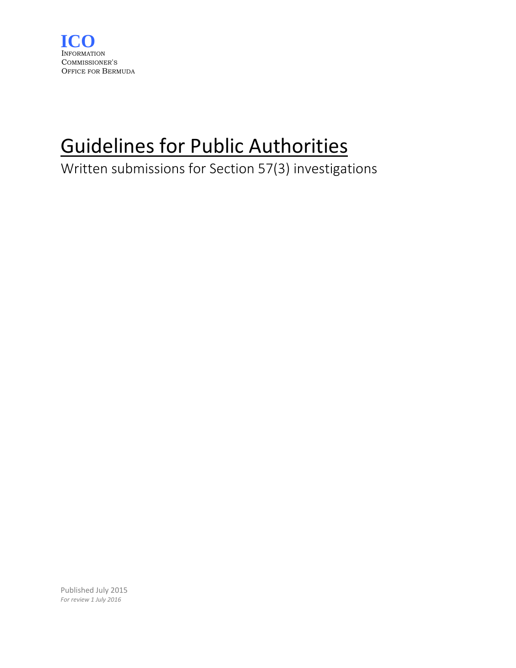

# Guidelines for Public Authorities

Written submissions for Section 57(3) investigations

Published July 2015 *For review 1 July 2016*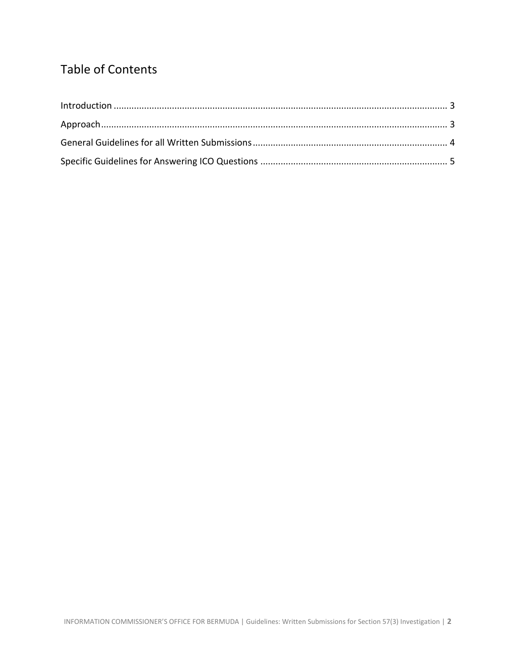# Table of Contents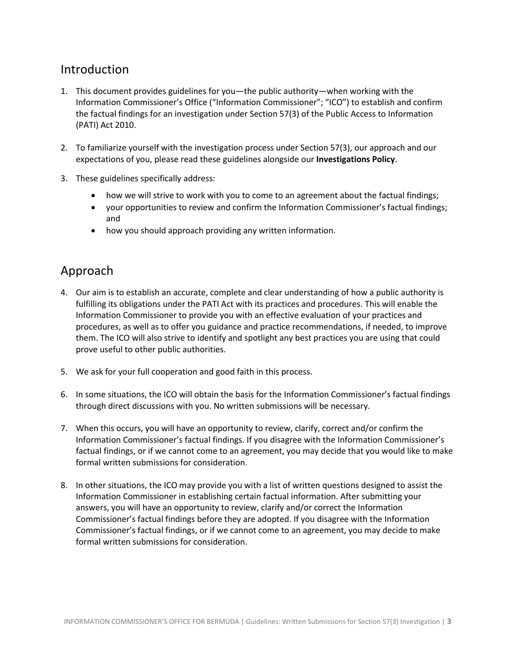#### <span id="page-2-0"></span>Introduction

- 1. This document provides guidelines for you—the public authority—when working with the Information Commissioner's Office ("Information Commissioner"; "ICO") to establish and confirm the factual findings for an investigation under Section 57(3) of the Public Access to Information (PATI) Act 2010.
- 2. To familiarize yourself with the investigation process under Section 57(3), our approach and our expectations of you, please read these guidelines alongside our **Investigations Policy**.
- 3. These guidelines specifically address:
	- how we will strive to work with you to come to an agreement about the factual findings;
	- your opportunities to review and confirm the Information Commissioner's factual findings; and
	- how you should approach providing any written information.

#### <span id="page-2-1"></span>Approach

- 4. Our aim is to establish an accurate, complete and clear understanding of how a public authority is fulfilling its obligations under the PATI Act with its practices and procedures. This will enable the Information Commissioner to provide you with an effective evaluation of your practices and procedures, as well as to offer you guidance and practice recommendations, if needed, to improve them. The ICO will also strive to identify and spotlight any best practices you are using that could prove useful to other public authorities.
- 5. We ask for your full cooperation and good faith in this process.
- 6. In some situations, the ICO will obtain the basis for the Information Commissioner's factual findings through direct discussions with you. No written submissions will be necessary.
- 7. When this occurs, you will have an opportunity to review, clarify, correct and/or confirm the Information Commissioner's factual findings. If you disagree with the Information Commissioner's factual findings, or if we cannot come to an agreement, you may decide that you would like to make formal written submissions for consideration.
- 8. In other situations, the ICO may provide you with a list of written questions designed to assist the Information Commissioner in establishing certain factual information. After submitting your answers, you will have an opportunity to review, clarify and/or correct the Information Commissioner's factual findings before they are adopted. If you disagree with the Information Commissioner's factual findings, or if we cannot come to an agreement, you may decide to make formal written submissions for consideration.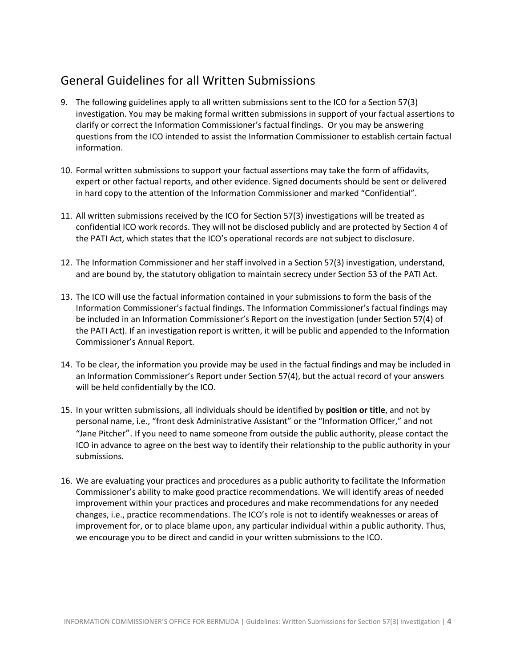## <span id="page-3-0"></span>General Guidelines for all Written Submissions

- 9. The following guidelines apply to all written submissions sent to the ICO for a Section 57(3) investigation. You may be making formal written submissions in support of your factual assertions to clarify or correct the Information Commissioner's factual findings. Or you may be answering questions from the ICO intended to assist the Information Commissioner to establish certain factual information.
- 10. Formal written submissions to support your factual assertions may take the form of affidavits, expert or other factual reports, and other evidence. Signed documents should be sent or delivered in hard copy to the attention of the Information Commissioner and marked "Confidential".
- 11. All written submissions received by the ICO for Section 57(3) investigations will be treated as confidential ICO work records. They will not be disclosed publicly and are protected by Section 4 of the PATI Act, which states that the ICO's operational records are not subject to disclosure.
- 12. The Information Commissioner and her staff involved in a Section 57(3) investigation, understand, and are bound by, the statutory obligation to maintain secrecy under Section 53 of the PATI Act.
- 13. The ICO will use the factual information contained in your submissions to form the basis of the Information Commissioner's factual findings. The Information Commissioner's factual findings may be included in an Information Commissioner's Report on the investigation (under Section 57(4) of the PATI Act). If an investigation report is written, it will be public and appended to the Information Commissioner's Annual Report.
- 14. To be clear, the information you provide may be used in the factual findings and may be included in an Information Commissioner's Report under Section 57(4), but the actual record of your answers will be held confidentially by the ICO.
- 15. In your written submissions, all individuals should be identified by **position or title**, and not by personal name, i.e., "front desk Administrative Assistant" or the "Information Officer," and not "Jane Pitcher". If you need to name someone from outside the public authority, please contact the ICO in advance to agree on the best way to identify their relationship to the public authority in your submissions.
- 16. We are evaluating your practices and procedures as a public authority to facilitate the Information Commissioner's ability to make good practice recommendations. We will identify areas of needed improvement within your practices and procedures and make recommendations for any needed changes, i.e., practice recommendations. The ICO's role is not to identify weaknesses or areas of improvement for, or to place blame upon, any particular individual within a public authority. Thus, we encourage you to be direct and candid in your written submissions to the ICO.